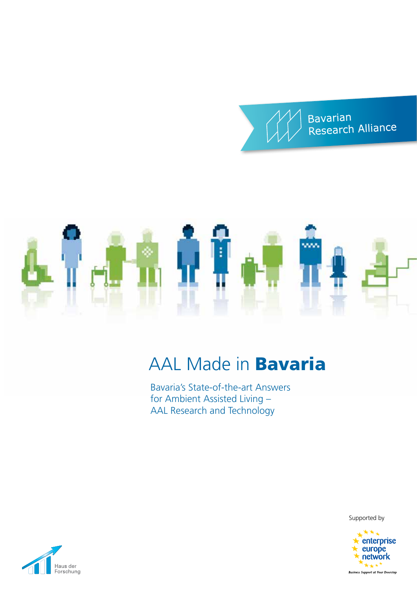



## AAL Made in Bavaria

Bavaria's State-of-the-art Answers for Ambient Assisted Living – AAL Research and Technology

Supported by



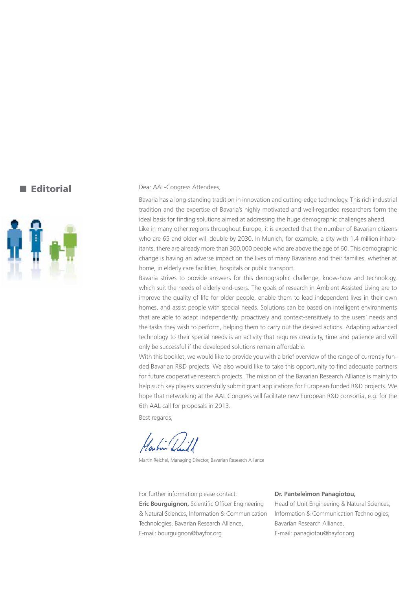#### **Editorial**



#### Dear AAL-Congress Attendees,

Bavaria has a long-standing tradition in innovation and cutting-edge technology. This rich industrial tradition and the expertise of Bavaria's highly motivated and well-regarded researchers form the ideal basis for finding solutions aimed at addressing the huge demographic challenges ahead. Like in many other regions throughout Europe, it is expected that the number of Bavarian citizens who are 65 and older will double by 2030. In Munich, for example, a city with 1.4 million inhabitants, there are already more than 300,000 people who are above the age of 60. This demographic change is having an adverse impact on the lives of many Bavarians and their families, whether at home, in elderly care facilities, hospitals or public transport.

Bavaria strives to provide answers for this demographic challenge, know-how and technology, which suit the needs of elderly end-users. The goals of research in Ambient Assisted Living are to improve the quality of life for older people, enable them to lead independent lives in their own homes, and assist people with special needs. Solutions can be based on intelligent environments that are able to adapt independently, proactively and context-sensitively to the users' needs and the tasks they wish to perform, helping them to carry out the desired actions. Adapting advanced technology to their special needs is an activity that requires creativity, time and patience and will only be successful if the developed solutions remain affordable.

With this booklet, we would like to provide you with a brief overview of the range of currently funded Bavarian R&D projects. We also would like to take this opportunity to find adequate partners for future cooperative research projects. The mission of the Bavarian Research Alliance is mainly to help such key players successfully submit grant applications for European funded R&D projects. We hope that networking at the AAL Congress will facilitate new European R&D consortia, e.g. for the 6th AAL call for proposals in 2013.

Best regards,

Martin Reichel, Managing Director, Bavarian Research Alliance

For further information please contact: **Eric Bourguignon,** Scientific Officer Engineering & Natural Sciences, Information & Communication Technologies, Bavarian Research Alliance, E-mail: bourguignon@bayfor.org

#### **Dr. Panteleïmon Panagiotou,**

Head of Unit Engineering & Natural Sciences, Information & Communication Technologies, Bavarian Research Alliance, E-mail: panagiotou@bayfor.org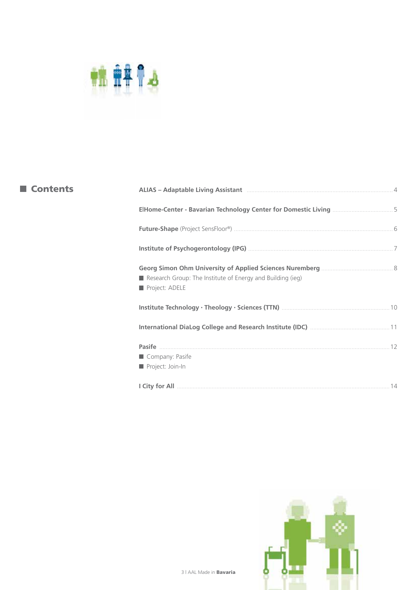

| <b>Contents</b> | ALIAS - Adaptable Living Assistant Manual Manuscrittis and ALIAS - Adaptable Living Assistant Manuscrittis and |  |
|-----------------|----------------------------------------------------------------------------------------------------------------|--|
|                 |                                                                                                                |  |
|                 |                                                                                                                |  |
|                 |                                                                                                                |  |
|                 | Research Group: The Institute of Energy and Building (ieg)<br>Project: ADELE                                   |  |
|                 |                                                                                                                |  |
|                 |                                                                                                                |  |
|                 | Company: Pasife<br>Project: Join-In                                                                            |  |
|                 |                                                                                                                |  |

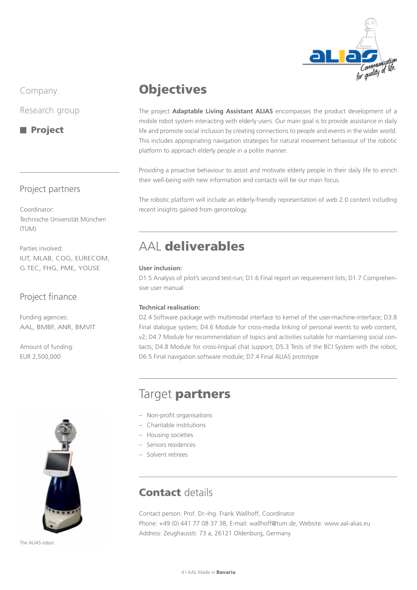

Research group

**Project** 

#### Project partners

Coordinator: Technische Universität München (TUM)

Parties involved: IUT, MLAB, COG, EURECOM, G.TEC, FHG, PME, YOUSE

#### Project finance

Funding agencies: AAL, BMBF, ANR, BMVIT

Amount of funding: EUR 2,500,000



The ALIAS robot

## **Objectives**

The project **Adaptable Living Assistant ALIAS** encompasses the product development of a mobile robot system interacting with elderly users. Our main goal is to provide assistance in daily life and promote social inclusion by creating connections to people and events in the wider world. This includes appropriating navigation strategies for natural movement behaviour of the robotic platform to approach elderly people in a polite manner.

Providing a proactive behaviour to assist and motivate elderly people in their daily life to enrich their well-being with new information and contacts will be our main focus.

The robotic platform will include an elderly-friendly representation of web 2.0 content including recent insights gained from gerontology.

## AAL deliverables

#### **User inclusion:**

D1.5 Analysis of pilot's second test-run; D1.6 Final report on requirement lists; D1.7 Comprehensive user manual

#### **Technical realisation:**

D2.4 Software package with multimodal interface to kernel of the user-machine-interface; D3.8 Final dialogue system; D4.6 Module for cross-media linking of personal events to web content, v2; D4.7 Module for recommendation of topics and activities suitable for maintaining social contacts; D4.8 Module for cross-lingual chat support; D5.3 Tests of the BCI System with the robot; D6.5 Final navigation software module; D7.4 Final ALIAS prototype

## Target partners

- Non-profit organisations
- Charitable institutions
- Housing societies
- Seniors residences
- Solvent retirees

## **Contact details**

Contact person: Prof. Dr.-Ing. Frank Wallhoff, Coordinator Phone: +49 (0) 441 77 08 37 38, E-mail: wallhoff@tum.de, Website: www.aal-alias.eu Address: Zeughausstr. 73 a, 26121 Oldenburg, Germany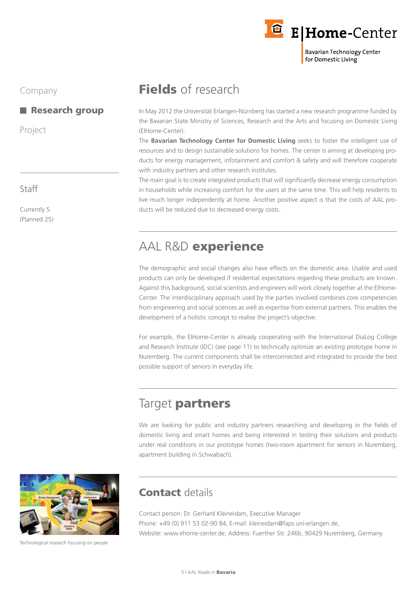

#### **Research group**

Project

#### Staff

Currently 5 (Planned 25)

## Fields of research

In May 2012 the Universität Erlangen-Nürnberg has started a new research programme funded by the Bavarian State Ministry of Sciences, Research and the Arts and focusing on Domestic Living (E|Home-Center).

The **Bavarian Technology Center for Domestic Living** seeks to foster the intelligent use of resources and to design sustainable solutions for homes. The center is aiming at developing products for energy management, infotainment and comfort & safety and will therefore cooperate with industry partners and other research institutes.

The main goal is to create integrated products that will significantly decrease energy consumption in households while increasing comfort for the users at the same time. This will help residents to live much longer independently at home. Another positive aspect is that the costs of AAL products will be reduced due to decreased energy costs.

## AAL R&D experience

The demographic and social changes also have effects on the domestic area. Usable and used products can only be developed if residential expectations regarding these products are known. Against this background, social scientists and engineers will work closely together at the E|Home-Center. The interdisciplinary approach used by the parties involved combines core competencies from engineering and social sciences as well as expertise from external partners. This enables the development of a holistic concept to realise the project's objective.

For example, the ElHome-Center is already cooperating with the International DiaLog College and Research Institute (IDC) (see page 11) to technically optimize an existing prototype home in Nuremberg. The current components shall be interconnected and integrated to provide the best possible support of seniors in everyday life.

## Target partners

We are looking for public and industry partners researching and developing in the fields of domestic living and smart homes and being interested in testing their solutions and products under real conditions in our prototype homes (two-room apartment for seniors in Nuremberg, apartment building in Schwabach).



## Contact details

Contact person: Dr. Gerhard Kleineidam, Executive Manager Phone: +49 (0) 911 53 02-90 84, E-mail: kleineidam@faps.uni-erlangen.de, Website: www.ehome-center.de; Address: Fuerther Str. 246b, 90429 Nuremberg, Germany

Technological research focusing on people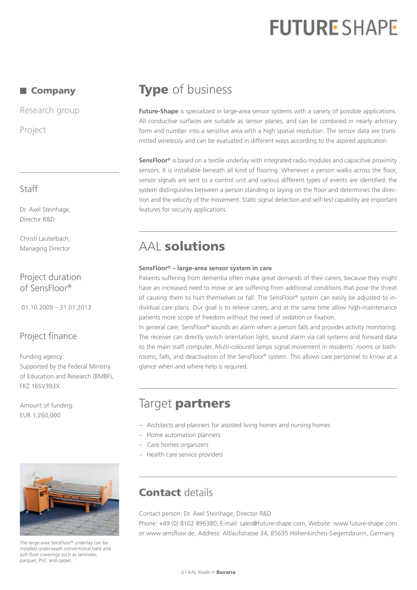## **FUTURE SHAPE**

#### ■ Company

Research group

Project

### Staff

Dr. Axel Steinhage, Director R&D

Christl Lauterbach, Managing Director

#### Project duration of SensFloor®

01.10.2009 – 31.01.2013

#### Project finance

Funding agency: Supported by the Federal Ministry of Education and Research (BMBF), FKZ 16SV393X

Amount of funding: EUR 1,260,000



The large-area SensFloor® underlay can be installed underneath conventional hard and soft floor coverings such as laminate, parquet, PVC and carpet.

## **Type** of business

Future-Shape is specialized in large-area sensor systems with a variety of possible applications. All conductive surfaces are suitable as sensor planes, and can be combined in nearly arbitrary form and number into a sensitive area with a high spatial resolution. The sensor data are transmitted wirelessly and can be evaluated in different ways according to the aspired application.

**SensFloor®** is based on a textile underlay with integrated radio modules and capacitive proximity sensors. It is installable beneath all kind of flooring. Whenever a person walks across the floor, sensor signals are sent to a control unit and various different types of events are identified: the system distinguishes between a person standing or laying on the floor and determines the direction and the velocity of the movement. Static signal detection and self-test capability are important features for security applications.

## AAL solutions

#### **SensFloor® – large-area sensor system in care**

Patients suffering from dementia often make great demands of their carers, because they might have an increased need to move or are suffering from additional conditions that pose the threat of causing them to hurt themselves or fall. The SensFloor® system can easily be adjusted to individual care plans. Our goal is to relieve carers, and at the same time allow high-maintenance patients more scope of freedom without the need of sedation or fixation.

In general care, SensFloor® sounds an alarm when a person falls and provides activity monitoring. The receiver can directly switch orientation light, sound alarm via call systems and forward data to the main staff computer. Multi-coloured lamps signal movement in residents' rooms or bathrooms, falls, and deactivation of the SensFloor® system. This allows care personnel to know at a glance when and where help is required.

## Target partners

- Architects and planners for assisted living homes and nursing homes
- Home automation planners
- Care homes organizers
- Health care service providers

## **Contact details**

Contact person: Dr. Axel Steinhage, Director R&D

Phone: +49 (0) 8102 896380, E-mail: sales@future-shape.com, Website: www.future-shape.com or www.sensfloor.de; Address: Altlaufstrasse 34, 85635 Höhenkirchen-Siegertsbrunn, Germany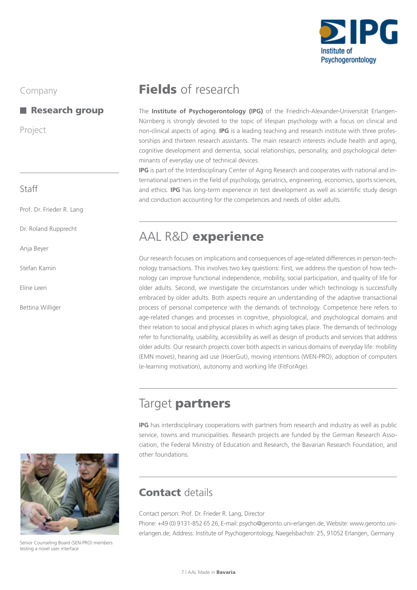

#### Research group

Project

#### Staff

Prof. Dr. Frieder R. Lang

Dr. Roland Rupprecht

Anja Beyer

Stefan Kamin

Eline Leen

Bettina Williger

## Fields of research

The **Institute of Psychogerontology (IPG)** of the Friedrich-Alexander-Universität Erlangen-Nürnberg is strongly devoted to the topic of lifespan psychology with a focus on clinical and non-clinical aspects of aging. **IPG** is a leading teaching and research institute with three professorships and thirteen research assistants. The main research interests include health and aging, cognitive development and dementia, social relationships, personality, and psychological determinants of everyday use of technical devices.

**IPG** is part of the Interdisciplinary Center of Aging Research and cooperates with national and international partners in the field of psychology, geriatrics, engineering, economics, sports sciences, and ethics. **IPG** has long-term experience in test development as well as scientific study design and conduction accounting for the competences and needs of older adults.

## AAL R&D experience

Our research focuses on implications and consequences of age-related differences in person-technology transactions. This involves two key questions: First, we address the question of how technology can improve functional independence, mobility, social participation, and quality of life for older adults. Second, we investigate the circumstances under which technology is successfully embraced by older adults. Both aspects require an understanding of the adaptive transactional process of personal competence with the demands of technology. Competence here refers to age-related changes and processes in cognitive, physiological, and psychological domains and their relation to social and physical places in which aging takes place. The demands of technology refer to functionality, usability, accessibility as well as design of products and services that address older adults. Our research projects cover both aspects in various domains of everyday life: mobility (EMN moves), hearing aid use (HoerGut), moving intentions (WEN-PRO), adoption of computers (e-learning motivation), autonomy and working life (FitForAge).

## Target partners

**IPG** has interdisciplinary cooperations with partners from research and industry as well as public service, towns and municipalities. Research projects are funded by the German Research Association, the Federal Ministry of Education and Research, the Bavarian Research Foundation, and other foundations.



Senior Counseling Board (SEN-PRO) members testing a novel user interface

## Contact details

Contact person: Prof. Dr. Frieder R. Lang, Director

Phone: +49 (0) 9131-852 65 26, E-mail: psycho@geronto.uni-erlangen.de, Website: www.geronto.unierlangen.de; Address: Institute of Psychogerontology, Naegelsbachstr. 25, 91052 Erlangen, Germany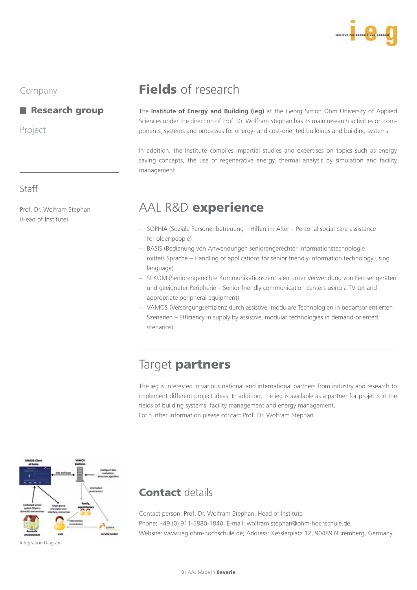

#### Research group

Prof. Dr. Wolfram Stephan

(Head of Institute)

Project

Staff

## Fields of research

The **Institute of Energy and Building (ieg)** at the Georg Simon Ohm University of Applied Sciences under the direction of Prof. Dr. Wolfram Stephan has its main research activities on components, systems and processes for energy- and cost-oriented buildings and building systems.

In addition, the Institute compiles impartial studies and expertises on topics such as energy saving concepts, the use of regenerative energy, thermal analysis by simulation and facility management.

## AAL R&D experience

- Sophia (Soziale Personenbetreuung Hilfen im Alter Personal social care assistance for older people)
- Basis (Bedienung von Anwendungen seniorengerechter Informationstechnologie mittels Sprache – Handling of applications for senior friendly information technology using language)
- Sekom (Seniorengerechte Kommunikationszentralen unter Verwendung von Fernsehgeräten und geeigneter Peripherie – Senior friendly communication centers using a TV set and appropriate peripheral equipment)
- VAMOS (Versorgungseffizienz durch assistive, modulare Technologien in bedarfsorientierten Szenarien – Efficiency in supply by assistive, modular technologies in demand-oriented scenarios)

## Target partners

The ieg is interested in various national and international partners from industry and research to implement different project ideas. In addition, the ieg is available as a partner for projects in the fields of building systems, facility management and energy management. For further information please contact Prof. Dr. Wolfram Stephan.



### Contact details

Contact person: Prof. Dr. Wolfram Stephan, Head of Institute Phone: +49 (0) 911-5880-1840, E-mail: wolfram.stephan@ohm-hochschule.de, Website: www.ieg.ohm-hochschule.de; Address: Kesslerplatz 12, 90489 Nuremberg, Germany

Integration Diagram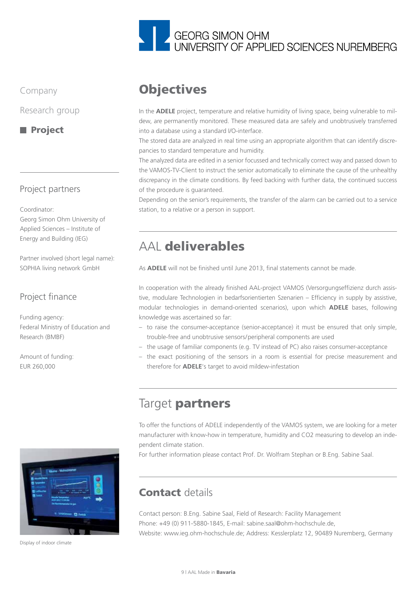

Research group

**Project** 

#### Project partners

Coordinator:

Georg Simon Ohm University of Applied Sciences – Institute of Energy and Building (IEG)

Partner involved (short legal name): SOPHIA living network GmbH

### Project finance

Funding agency: Federal Ministry of Education and Research (BMBF)

Amount of funding: EUR 260,000



In the **ADELE** project, temperature and relative humidity of living space, being vulnerable to mildew, are permanently monitored. These measured data are safely and unobtrusively transferred into a database using a standard I/O-interface.

The stored data are analyzed in real time using an appropriate algorithm that can identify discrepancies to standard temperature and humidity.

The analyzed data are edited in a senior focussed and technically correct way and passed down to the VAMOS-TV-Client to instruct the senior automatically to eliminate the cause of the unhealthy discrepancy in the climate conditions. By feed backing with further data, the continued success of the procedure is guaranteed.

Depending on the senior's requirements, the transfer of the alarm can be carried out to a service station, to a relative or a person in support.

## AAL deliverables

As **ADELE** will not be finished until June 2013, final statements cannot be made.

In cooperation with the already finished AAL-project VAMOS (Versorgungseffizienz durch assistive, modulare Technologien in bedarfsorientierten Szenarien – Efficiency in supply by assistive, modular technologies in demand-oriented scenarios), upon which **ADELE** bases, following knowledge was ascertained so far:

- to raise the consumer-acceptance (senior-acceptance) it must be ensured that only simple, trouble-free and unobtrusive sensors/peripheral components are used
- the usage of familiar components (e.g. TV instead of PC) also raises consumer-acceptance
- the exact positioning of the sensors in a room is essential for precise measurement and therefore for **ADELE**'s target to avoid mildew-infestation

## Target partners

To offer the functions of ADELE independently of the VAMOS system, we are looking for a meter manufacturer with know-how in temperature, humidity and CO2 measuring to develop an independent climate station.

For further information please contact Prof. Dr. Wolfram Stephan or B.Eng. Sabine Saal.



Display of indoor climate

## Contact details

Contact person: B.Eng. Sabine Saal, Field of Research: Facility Management Phone: +49 (0) 911-5880-1845, E-mail: sabine.saal@ohm-hochschule.de, Website: www.ieg.ohm-hochschule.de; Address: Kesslerplatz 12, 90489 Nuremberg, Germany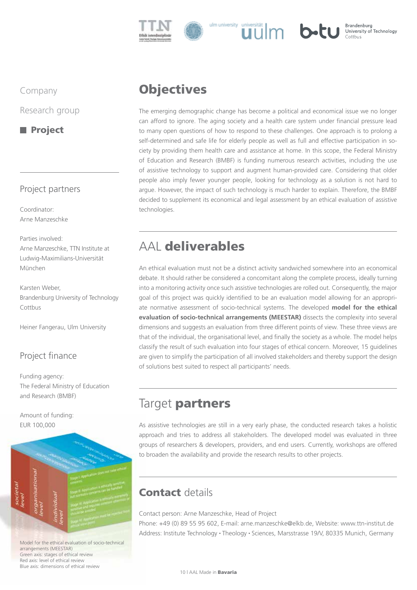

#### Brandenburg **b**-tu University of Technology

Company

Research group

**Project** 

### Project partners

Coordinator: Arne Manzeschke

Parties involved: Arne Manzeschke, TTN Institute at Ludwig-Maximilians-Universität München

Karsten Weber, Brandenburg University of Technology Cottbus

Heiner Fangerau, Ulm University

### Project finance

Funding agency: The Federal Ministry of Education and Research (BMBF)

Amount of funding: EUR 100,000



Model for the ethical evaluation of socio-technical arrangements (MEESTAR) Green axis: stages of ethical review Red axis: level of ethical review Blue axis: dimensions of ethical review

## **Objectives**

The emerging demographic change has become a political and economical issue we no longer can afford to ignore. The aging society and a health care system under financial pressure lead to many open questions of how to respond to these challenges. One approach is to prolong a self-determined and safe life for elderly people as well as full and effective participation in society by providing them health care and assistance at home. In this scope, the Federal Ministry of Education and Research (BMBF) is funding numerous research activities, including the use of assistive technology to support and augment human-provided care. Considering that older people also imply fewer younger people, looking for technology as a solution is not hard to argue. However, the impact of such technology is much harder to explain. Therefore, the BMBF decided to supplement its economical and legal assessment by an ethical evaluation of assistive technologies.

## AAL deliverables

An ethical evaluation must not be a distinct activity sandwiched somewhere into an economical debate. It should rather be considered a concomitant along the complete process, ideally turning into a monitoring activity once such assistive technologies are rolled out. Consequently, the major goal of this project was quickly identified to be an evaluation model allowing for an appropriate normative assessment of socio-technical systems. The developed **model for the ethical evaluation of socio-technical arrangements (MEESTAR)** dissects the complexity into several dimensions and suggests an evaluation from three different points of view. These three views are that of the individual, the organisational level, and finally the society as a whole. The model helps classify the result of such evaluation into four stages of ethical concern. Moreover, 15 guidelines are given to simplify the participation of all involved stakeholders and thereby support the design of solutions best suited to respect all participants' needs.

## Target partners

As assistive technologies are still in a very early phase, the conducted research takes a holistic approach and tries to address all stakeholders. The developed model was evaluated in three groups of researchers & developers, providers, and end users. Currently, workshops are offered to broaden the availability and provide the research results to other projects.

## Contact details

#### Contact person: Arne Manzeschke, Head of Project

Phone: +49 (0) 89 55 95 602, E-mail: arne.manzeschke@elkb.de, Website: www.ttn-institut.de Address: Institute Technology • Theology • Sciences, Marsstrasse 19/V, 80335 Munich, Germany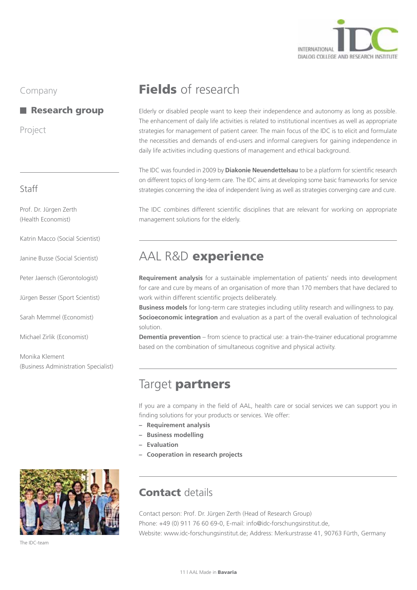

#### Research group

Project

#### Staff

Prof. Dr. Jürgen Zerth (Health Economist)

Katrin Macco (Social Scientist)

Janine Busse (Social Scientist)

Peter Jaensch (Gerontologist)

Jürgen Besser (Sport Scientist)

Sarah Memmel (Economist)

Michael Zirlik (Economist)

Monika Klement (Business Administration Specialist)



The IDC-team

## Fields of research

Elderly or disabled people want to keep their independence and autonomy as long as possible. The enhancement of daily life activities is related to institutional incentives as well as appropriate strategies for management of patient career. The main focus of the IDC is to elicit and formulate the necessities and demands of end-users and informal caregivers for gaining independence in daily life activities including questions of management and ethical background.

The IDC was founded in 2009 by **Diakonie Neuendettelsau** to be a platform for scientific research on different topics of long-term care. The IDC aims at developing some basic frameworks for service strategies concerning the idea of independent living as well as strategies converging care and cure.

The IDC combines different scientific disciplines that are relevant for working on appropriate management solutions for the elderly.

## AAL R&D experience

**Requirement analysis** for a sustainable implementation of patients' needs into development for care and cure by means of an organisation of more than 170 members that have declared to work within different scientific projects deliberately.

**Business models** for long-term care strategies including utility research and willingness to pay. **Socioeconomic integration** and evaluation as a part of the overall evaluation of technological solution.

**Dementia prevention** – from science to practical use: a train-the-trainer educational programme based on the combination of simultaneous cognitive and physical activity.

## Target partners

If you are a company in the field of AAL, health care or social services we can support you in finding solutions for your products or services. We offer:

- **– Requirement analysis**
- **– Business modelling**
- **– Evaluation**
- **– Cooperation in research projects**

## **Contact details**

Contact person: Prof. Dr. Jürgen Zerth (Head of Research Group) Phone: +49 (0) 911 76 60 69-0, E-mail: info@idc-forschungsinstitut.de, Website: www.idc-forschungsinstitut.de; Address: Merkurstrasse 41, 90763 Fürth, Germany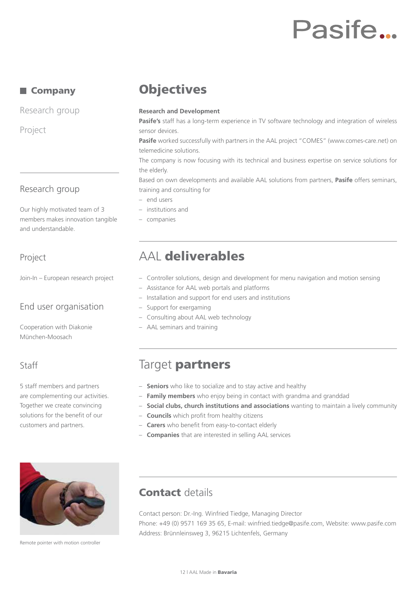## Pasife...

#### ■ Company

Research group

Project

#### Research group

Our highly motivated team of 3 members makes innovation tangible and understandable.

#### Project

Join-In – European research project

### End user organisation

Cooperation with Diakonie München-Moosach

### Staff

5 staff members and partners are complementing our activities. Together we create convincing solutions for the benefit of our customers and partners.



Remote pointer with motion controller

## **Objectives**

#### **Research and Development**

**Pasife's** staff has a long-term experience in TV software technology and integration of wireless sensor devices.

**Pasife** worked successfully with partners in the AAL project "COMES" (www.comes-care.net) on telemedicine solutions.

The company is now focusing with its technical and business expertise on service solutions for the elderly.

Based on own developments and available AAL solutions from partners, **Pasife** offers seminars, training and consulting for

- end users
- institutions and
- companies

## AAL deliverables

- Controller solutions, design and development for menu navigation and motion sensing
- Assistance for AAL web portals and platforms
- Installation and support for end users and institutions
- Support for exergaming
- Consulting about AAL web technology
- AAL seminars and training

## Target **partners**

- **Seniors** who like to socialize and to stay active and healthy
- **Family members** who enjoy being in contact with grandma and granddad
- **Social clubs, church institutions and associations** wanting to maintain a lively community
- **Councils** which profit from healthy citizens
- **Carers** who benefit from easy-to-contact elderly
- **Companies** that are interested in selling AAL services

## **Contact details**

Contact person: Dr.-Ing. Winfried Tiedge, Managing Director Phone: +49 (0) 9571 169 35 65, E-mail: winfried.tiedge@pasife.com, Website: www.pasife.com Address: Brünnleinsweg 3, 96215 Lichtenfels, Germany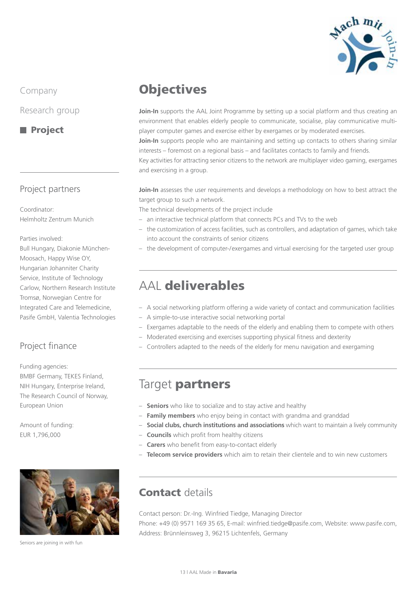

Research group

#### **Project**

#### Project partners

Coordinator: Helmholtz Zentrum Munich

Parties involved:

Bull Hungary, Diakonie München-Moosach, Happy Wise OY, Hungarian Johanniter Charity Service, Institute of Technology Carlow, Northern Research Institute Tromsø, Norwegian Centre for Integrated Care and Telemedicine, Pasife GmbH, Valentia Technologies

### Project finance

Funding agencies: BMBF Germany, TEKES Finland, NIH Hungary, Enterprise Ireland, The Research Council of Norway, European Union

Amount of funding: EUR 1,796,000



Seniors are joining in with fun

## **Objectives**

Join-In supports the AAL Joint Programme by setting up a social platform and thus creating an environment that enables elderly people to communicate, socialise, play communicative multiplayer computer games and exercise either by exergames or by moderated exercises.

**Join-In** supports people who are maintaining and setting up contacts to others sharing similar interests – foremost on a regional basis – and facilitates contacts to family and friends.

Key activities for attracting senior citizens to the network are multiplayer video gaming, exergames and exercising in a group.

**Join-In** assesses the user requirements and develops a methodology on how to best attract the target group to such a network.

The technical developments of the project include

- an interactive technical platform that connects PCs and TVs to the web
- the customization of access facilities, such as controllers, and adaptation of games, which take into account the constraints of senior citizens
- the development of computer-/exergames and virtual exercising for the targeted user group

## AAL deliverables

- A social networking platform offering a wide variety of contact and communication facilities
- A simple-to-use interactive social networking portal
- Exergames adaptable to the needs of the elderly and enabling them to compete with others
- Moderated exercising and exercises supporting physical fitness and dexterity
- Controllers adapted to the needs of the elderly for menu navigation and exergaming

## Target partners

- **Seniors** who like to socialize and to stay active and healthy
- **Family members** who enjoy being in contact with grandma and granddad
- **Social clubs, church institutions and associations** which want to maintain a lively community
- **Councils** which profit from healthy citizens
- **Carers** who benefit from easy-to-contact elderly
- **Telecom service providers** which aim to retain their clientele and to win new customers

### Contact details

Contact person: Dr.-Ing. Winfried Tiedge, Managing Director Phone: +49 (0) 9571 169 35 65, E-mail: winfried.tiedge@pasife.com, Website: www.pasife.com, Address: Brünnleinsweg 3, 96215 Lichtenfels, Germany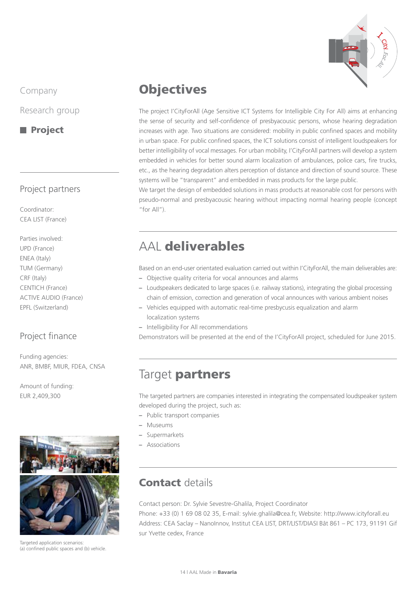

Research group

#### **Project**

#### Project partners

Coordinator: CEA LIST (France)

Parties involved: UPD (France) ENEA (Italy) TUM (Germany) CRF (Italy) CENTICH (France) ACTIVE AUDIO (France) EPFL (Switzerland)

### Project finance

Funding agencies: ANR, BMBF, MIUR, FDEA, CNSA

Amount of funding: EUR 2,409,300



Targeted application scenarios (a) confined public spaces and (b) vehicle.

## **Objectives**

The project I'CityForAll (Age Sensitive ICT Systems for Intelligible City For All) aims at enhancing the sense of security and self-confidence of presbyacousic persons, whose hearing degradation increases with age. Two situations are considered: mobility in public confined spaces and mobility in urban space. For public confined spaces, the ICT solutions consist of intelligent loudspeakers for better intelligibility of vocal messages. For urban mobility, I'CityForAll partners will develop a system embedded in vehicles for better sound alarm localization of ambulances, police cars, fire trucks, etc., as the hearing degradation alters perception of distance and direction of sound source. These systems will be "transparent" and embedded in mass products for the large public.

We target the design of embedded solutions in mass products at reasonable cost for persons with pseudo-normal and presbyacousic hearing without impacting normal hearing people (concept "for All").

## AAL deliverables

Based on an end-user orientated evaluation carried out within I'CityForAll, the main deliverables are:

- **–** Objective quality criteria for vocal announces and alarms
- **–** Loudspeakers dedicated to large spaces (i.e. railway stations), integrating the global processing chain of emission, correction and generation of vocal announces with various ambient noises
- **–** Vehicles equipped with automatic real-time presbycusis equalization and alarm localization systems
- **–** Intelligibility For All recommendations

Demonstrators will be presented at the end of the I'CityForAll project, scheduled for June 2015.

## Target partners

The targeted partners are companies interested in integrating the compensated loudspeaker system developed during the project, such as:

- **–** Public transport companies
- **–** Museums
- **–** Supermarkets
- **–** Associations

## **Contact details**

Contact person: Dr. Sylvie Sevestre-Ghalila, Project Coordinator

Phone: +33 (0) 1 69 08 02 35, E-mail: sylvie.ghalila@cea.fr, Website: http://www.icityforall.eu Address: CEA Saclay – NanoInnov, Institut CEA LIST, DRT/LIST/DIASI Bât 861 – PC 173, 91191 Gif sur Yvette cedex, France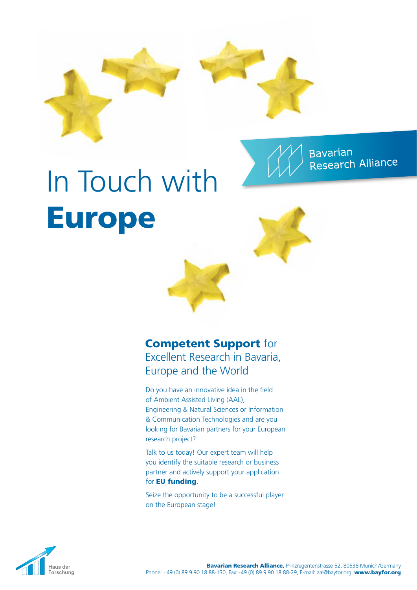





# In Touch with Europe



## Competent Support for Excellent Research in Bavaria, Europe and the World

Do you have an innovative idea in the field of Ambient Assisted Living (AAL), Engineering & Natural Sciences or Information & Communication Technologies and are you looking for Bavarian partners for your European research project?

Talk to us today! Our expert team will help you identify the suitable research or business partner and actively support your application for **EU funding**.

Seize the opportunity to be a successful player on the European stage!